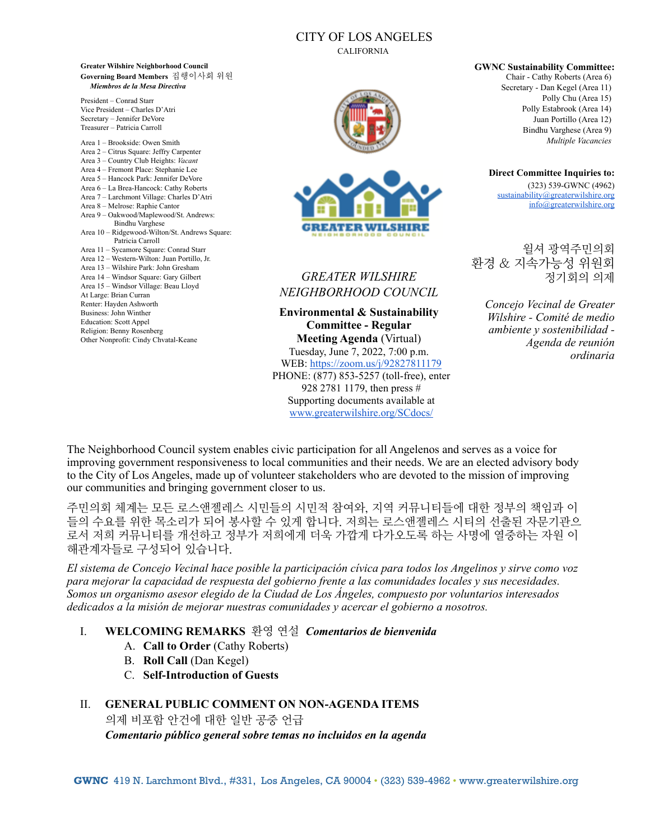### CITY OF LOS ANGELES

CALIFORNIA



# ETER WILSEIRI

# *GREATER WILSHIRE NEIGHBORHOOD COUNCIL*

**Environmental & Sustainability Committee - Regular Meeting Agenda** (Virtual) Tuesday, June 7, 2022, 7:00 p.m. WEB:<https://zoom.us/j/92827811179> PHONE: (877) 853-5257 (toll-free), enter 928 2781 1179, then press # Supporting documents available at [www.greaterwilshire.org/SCdocs/](http://www.greaterwilshire.org/SCdocs/)

**GWNC Sustainability Committee:** Chair - Cathy Roberts (Area 6) Secretary - Dan Kegel (Area 11) Polly Chu (Area 15) Polly Estabrook (Area 14) Juan Portillo (Area 12) Bindhu Varghese (Area 9)

**Direct Committee Inquiries to:** (323) 539-GWNC (4962) [sustainability@greaterwilshire.org](mailto:sustainability@greaterwilshire.org) [info@greaterwilshire.org](mailto:info@greaterwilshire.org)

*Multiple Vacancies*

윌셔 광역주민의회 환경 & 지속가능성 위원회 정기회의 의제

*Concejo Vecinal de Greater Wilshire - Comité de medio ambiente y sostenibilidad - Agenda de reunión ordinaria* 

The Neighborhood Council system enables civic participation for all Angelenos and serves as a voice for improving government responsiveness to local communities and their needs. We are an elected advisory body to the City of Los Angeles, made up of volunteer stakeholders who are devoted to the mission of improving our communities and bringing government closer to us.

주민의회 체계는 모든 로스앤젤레스 시민들의 시민적 참여와, 지역 커뮤니티들에 대한 정부의 책임과 이 들의 수요를 위한 목소리가 되어 봉사할 수 있게 합니다. 저희는 로스앤젤레스 시티의 선출된 자문기관으 로서 저희 커뮤니티를 개선하고 정부가 저희에게 더욱 가깝게 다가오도록 하는 사명에 열중하는 자원 이 해관계자들로 구성되어 있습니다.

*El sistema de Concejo Vecinal hace posible la participación cívica para todos los Angelinos y sirve como voz para mejorar la capacidad de respuesta del gobierno frente a las comunidades locales y sus necesidades. Somos un organismo asesor elegido de la Ciudad de Los Ángeles, compuesto por voluntarios interesados dedicados a la misión de mejorar nuestras comunidades y acercar el gobierno a nosotros.*

### I. **WELCOMING REMARKS** 환영 연설 *Comentarios de bienvenida*

- A. **Call to Order** (Cathy Roberts)
- B. **Roll Call** (Dan Kegel)
- C. **Self-Introduction of Guests**

### II. **GENERAL PUBLIC COMMENT ON NON-AGENDA ITEMS**

의제 비포함 안건에 대한 일반 공중 언급 *Comentario público general sobre temas no incluidos en la agenda* 

**Greater Wilshire Neighborhood Council Governing Board Members** 집행이사회 위원 *Miembros de la Mesa Directiva*

President – Conrad Starr Vice President – Charles D'Atri Secretary – Jennifer DeVore Treasurer – Patricia Carroll

Area 1 – Brookside: Owen Smith Area 2 – Citrus Square: Jeffry Carpenter Area 3 – Country Club Heights: *Vacant* Area 4 – Fremont Place: Stephanie Lee Area 5 – Hancock Park: Jennifer DeVore Area 6 – La Brea-Hancock: Cathy Roberts Area 7 – Larchmont Village: Charles D'Atri Area 8 – Melrose: Raphie Cantor Area 9 – Oakwood/Maplewood/St. Andrews: Bindhu Varghese Area 10 – Ridgewood-Wilton/St. Andrews Square: Patricia Carroll Area 11 – Sycamore Square: Conrad Starr Area 12 – Western-Wilton: Juan Portillo, Jr. Area 13 – Wilshire Park: John Gresham Area 14 – Windsor Square: Gary Gilbert Area 15 – Windsor Village: Beau Lloyd At Large: Brian Curran Renter: Hayden Ashworth Business: John Winther Education: Scott Appel Religion: Benny Rosenberg Other Nonprofit: Cindy Chvatal-Keane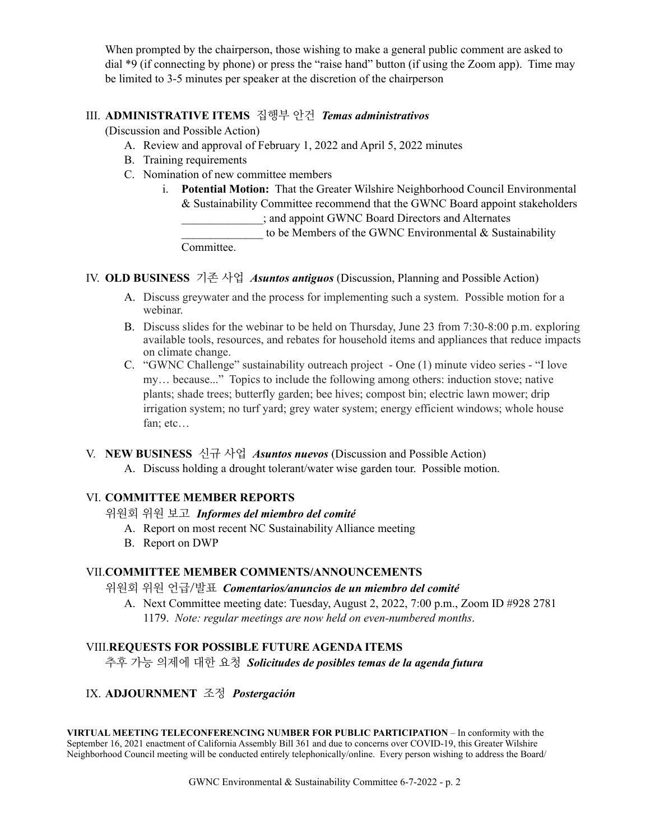When prompted by the chairperson, those wishing to make a general public comment are asked to dial \*9 (if connecting by phone) or press the "raise hand" button (if using the Zoom app). Time may be limited to 3-5 minutes per speaker at the discretion of the chairperson

### III. **ADMINISTRATIVE ITEMS** 집행부 안건 *Temas administrativos*

(Discussion and Possible Action)

- A. Review and approval of February 1, 2022 and April 5, 2022 minutes
- B. Training requirements
- C. Nomination of new committee members
	- i. **Potential Motion:** That the Greater Wilshire Neighborhood Council Environmental & Sustainability Committee recommend that the GWNC Board appoint stakeholders \_\_\_\_\_\_\_\_\_\_\_\_\_\_; and appoint GWNC Board Directors and Alternates to be Members of the GWNC Environmental  $&$  Sustainability **Committee**

IV. **OLD BUSINESS** 기존 사업 *Asuntos antiguos* (Discussion, Planning and Possible Action)

- A. Discuss greywater and the process for implementing such a system. Possible motion for a webinar.
- B. Discuss slides for the webinar to be held on Thursday, June 23 from 7:30-8:00 p.m. exploring available tools, resources, and rebates for household items and appliances that reduce impacts on climate change.
- C. "GWNC Challenge" sustainability outreach project One (1) minute video series "I love my… because..." Topics to include the following among others: induction stove; native plants; shade trees; butterfly garden; bee hives; compost bin; electric lawn mower; drip irrigation system; no turf yard; grey water system; energy efficient windows; whole house fan; etc…

V. **NEW BUSINESS** 신규 사업 *Asuntos nuevos* (Discussion and Possible Action)

A. Discuss holding a drought tolerant/water wise garden tour. Possible motion.

### VI. **COMMITTEE MEMBER REPORTS**

위원회 위원 보고*Informes del miembro del comité* 

- A. Report on most recent NC Sustainability Alliance meeting
- B. Report on DWP

### VII.**COMMITTEE MEMBER COMMENTS/ANNOUNCEMENTS**

위원회 위원 언급/발표*Comentarios/anuncios de un miembro del comité* 

A. Next Committee meeting date: Tuesday, August 2, 2022, 7:00 p.m., Zoom ID #928 2781 1179. *Note: regular meetings are now held on even-numbered months*.

### VIII.**REQUESTS FOR POSSIBLE FUTURE AGENDA ITEMS**

추후 가능 의제에 대한 요청 *Solicitudes de posibles temas de la agenda futura*

## IX. **ADJOURNMENT** 조정*Postergación*

**VIRTUAL MEETING TELECONFERENCING NUMBER FOR PUBLIC PARTICIPATION** – In conformity with the September 16, 2021 enactment of California Assembly Bill 361 and due to concerns over COVID-19, this Greater Wilshire Neighborhood Council meeting will be conducted entirely telephonically/online. Every person wishing to address the Board/

GWNC Environmental & Sustainability Committee 6-7-2022 - p. 2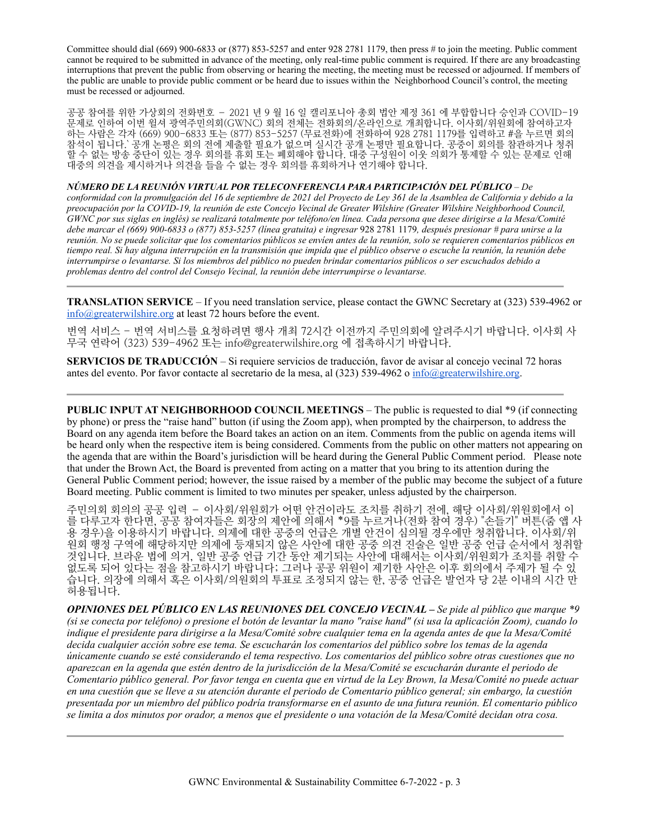Committee should dial (669) 900-6833 or (877) 853-5257 and enter 928 2781 1179, then press # to join the meeting. Public comment cannot be required to be submitted in advance of the meeting, only real-time public comment is required. If there are any broadcasting interruptions that prevent the public from observing or hearing the meeting, the meeting must be recessed or adjourned. If members of the public are unable to provide public comment or be heard due to issues within the Neighborhood Council's control, the meeting must be recessed or adjourned.

공공 참여를 위한 가상회의 전화번호 – 2021 년 9 월 16 일 캘리포니아 총회 법안 제정 361 에 부합합니다 승인과 COVID-19 문제로 인하여 이번 윌셔 광역주민의회(GWNC) 회의 전체는 전화회의/온라인으로 개최합니다. 이사회/위원회에 참여하고자 하는 사람은 각자 (669) 900-6833 또는 (877) 853-5257 (무료전화)에 전화하여 928 2781 1179를 입력하고 #을 누르면 회의 참석이 됩니다.` 공개 논평은 회의 전에 제출할 필요가 없으며 실시간 공개 논평만 필요합니다. 공중이 회의를 참관하거나 청취 할 수 없는 방송 중단이 있는 경우 회의를 휴회 또는 폐회해야 합니다. 대중 구성원이 이웃 의회가 통제할 수 있는 문제로 인해 대중의 의견을 제시하거나 의견을 들을 수 없는 경우 회의를 휴회하거나 연기해야 합니다.

*NÚMERO DE LA REUNIÓN VIRTUAL POR TELECONFERENCIA PARA PARTICIPACIÓN DEL PÚBLICO* – *De conformidad con la promulgación del 16 de septiembre de 2021 del Proyecto de Ley 361 de la Asamblea de California y debido a la preocupación por la COVID-19, la reunión de este Concejo Vecinal de Greater Wilshire (Greater Wilshire Neighborhood Council, GWNC por sus siglas en inglés) se realizará totalmente por teléfono/en línea. Cada persona que desee dirigirse a la Mesa/Comité debe marcar el (669) 900-6833 o (877) 853-5257 (línea gratuita) e ingresar* 928 2781 1179*, después presionar # para unirse a la reunión. No se puede solicitar que los comentarios públicos se envíen antes de la reunión, solo se requieren comentarios públicos en tiempo real. Si hay alguna interrupción en la transmisión que impida que el público observe o escuche la reunión, la reunión debe interrumpirse o levantarse. Si los miembros del público no pueden brindar comentarios públicos o ser escuchados debido a problemas dentro del control del Consejo Vecinal, la reunión debe interrumpirse o levantarse.*

**TRANSLATION SERVICE** – If you need translation service, please contact the GWNC Secretary at (323) 539-4962 or [info@greaterwilshire.org](mailto:info@greaterwilshire.org) at least 72 hours before the event.

번역 서비스 - 번역 서비스를 요청하려면 행사 개최 72시간 이전까지 주민의회에 알려주시기 바랍니다. 이사회 사 무국 연락어 (323) 539-4962 또는 [info@greaterwilshire.org](mailto:info@greaterwilshire.org) 에 접촉하시기 바랍니다.

**SERVICIOS DE TRADUCCIÓN** – S[i requiere servicios de traducción, favor de avisar al concejo vecinal 72 horas](http://www.greaterwilshire.org/)  [antes del evento. Por favor contacte al secretario de la mesa, al \(323\) 539-4962 o](http://www.greaterwilshire.org/) [info@greaterwilshire.org](mailto:info@greaterwilshire.org)[.](http://www.greaterwilshire.org/)

**PUBLIC INPUT AT NEIGHBORHOOD COUNCIL MEETINGS – The public is requested to dial \*9 (if connecting** by phone) or press the "raise hand" button (if using the Zoom app), when prompted by the chairperson, to address the Board on any agenda item before the Board takes an action on an item. Comments from the public on agenda items will be heard only when the respective item is being considered. Comments from the public on other matters not appearing on the agenda that are within the Board's jurisdiction will be heard during the General Public Comment period. Please note that under the Brown Act, the Board is prevented from acting on a matter that you bring to its attention during the General Public Comment period; however, the issue raised by a member of the public may become the subject of a future Board meeting. Public comment is limited to two minutes per speaker, unless adjusted by the chairperson.

주민의회 회의의 공공 입력 – 이사회/위원회가 어떤 안건이라도 조치를 취하기 전에, 해당 이사회/위원회에서 이 를 다루고자 한다면, 공공 참여자들은 회장의 제안에 의해서 \*9를 누르거나(전화 참여 경우) "손들기" 버튼(줌 앱 사 용 경우)을 이용하시기 바랍니다. 의제에 대한 공중의 언급은 개별 안건이 심의될 경우에만 청취합니다. 이사회/위 원회 행정 구역에 해당하지만 의제에 등재되지 않은 사안에 대한 공중 의견 진술은 일반 공중 언급 순서에서 청취할 것입니다. 브라운 법에 의거, 일반 공중 언급 기간 동안 제기되는 사안에 대해서는 이사회/위원회가 조치를 취할 수 없도록 되어 있다는 점을 참고하시기 바랍니다; 그러나 공공 위원이 제기한 사안은 이후 회의에서 주제가 될 수 있 습니다. 의장에 의해서 혹은 이사회/의원회의 투표로 조정되지 않는 한, 공중 언급은 발언자 당 2분 이내의 시간 만 허용됩니다.

*OPINIONES DEL PÚBLICO EN LAS REUNIONES DEL CONCEJO VECINAL – Se pide al público que marque \*9 (si se conecta por teléfono) o presione el botón de levantar la mano "raise hand" (si usa la aplicación Zoom), cuando lo indique el presidente para dirigirse a la Mesa/Comité sobre cualquier tema en la agenda antes de que la Mesa/Comité decida cualquier acción sobre ese tema. Se escucharán los comentarios del público sobre los temas de la agenda únicamente cuando se esté considerando el tema respectivo. Los comentarios del público sobre otras cuestiones que no aparezcan en la agenda que estén dentro de la jurisdicción de la Mesa/Comité se escucharán durante el periodo de Comentario público general. Por favor tenga en cuenta que en virtud de la Ley Brown, la Mesa/Comité no puede actuar en una cuestión que se lleve a su atención durante el periodo de Comentario público general; sin embargo, la cuestión presentada por un miembro del público podría transformarse en el asunto de una futura reunión. El comentario público se limita a dos minutos por orador, a menos que el presidente o una votación de la Mesa/Comité decidan otra cosa.*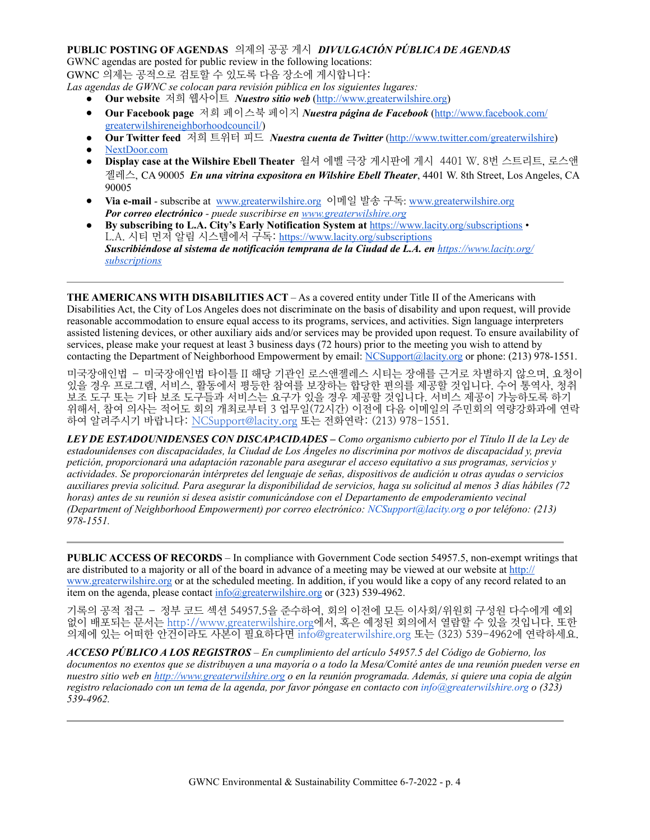### **PUBLIC POSTING OF AGENDAS** 의제의 공공 게시*DIVULGACIÓN PÚBLICA DE AGENDAS*

GWNC agendas are posted for public review in the following locations: GWNC 의제는 공적으로 검토할 수 있도록 다음 장소에 게시합니다:

- *Las agendas de GWNC se colocan para revisión pública en los siguientes lugares:* ● **Our website** 저희 웹사이트 *Nuestro sitio web* [\(http://www.greaterwilshire.org](http://www.greaterwilshire.org))
	- **Our Facebook page** 저희 페이스북 페이지 *Nuestra página de Facebook* ([http://www.facebook.com/](http://www.facebook.com/greaterwilshireneighborhoodcouncil) [greaterwilshireneighborhoodcouncil/\)](http://www.facebook.com/greaterwilshireneighborhoodcouncil)
	- **Our Twitter feed** 저희 트위터 피드 *Nuestra cuenta de Twitter* (<http://www.twitter.com/greaterwilshire>) [NextDoor.com](https://nextdoor.com/)
	- **Display case at the Wilshire Ebell Theater** 윌셔 에벨 극장 게시판에 게시 4401 W. 8번 스트리트, 로스앤 젤레스, CA 90005 *En una vitrina expositora en Wilshire Ebell Theater*, 4401 W. 8th Street, Los Angeles, CA 90005
	- **Via e-mail** subscribe at [www.greaterwilshire.org](http://www.greaterwilshire.org) 이메일 발송 구독: [www.greaterwilshire.org](http://www.greaterwilshire.org) *Por correo electrónico - puede suscribirse en [www.greaterwilshire.org](http://www.greaterwilshire.org)*
	- **By subscribing to L.A. City's Early Notification System at** <https://www.lacity.org/subscriptions> L.A. 시티 먼저 알림 시스템에서 구독: <https://www.lacity.org/subscriptions> *Suscribiéndose al sistema de notificación temprana de la Ciudad de L.A. en [https://www.lacity.org/](https://www.lacity.org/subscriptions) [subscriptions](https://www.lacity.org/subscriptions)*

**THE AMERICANS WITH DISABILITIES ACT** – As a covered entity under Title II of the Americans with Disabilities Act, the City of Los Angeles does not discriminate on the basis of disability and upon request, will provide reasonable accommodation to ensure equal access to its programs, services, and activities. Sign language interpreters assisted listening devices, or other auxiliary aids and/or services may be provided upon request. To ensure availability of services, please make your request at least 3 business days (72 hours) prior to the meeting you wish to attend by contacting the Department of Neighborhood Empowerment by email: [NCSupport@lacity.org](mailto:NCSupport@lacity.org) or phone: (213) 978-1551.

미국장애인법 – 미국장애인법 타이틀 II 해당 기관인 로스앤젤레스 시티는 장애를 근거로 차별하지 않으며, 요청이 있을 경우 프로그램, 서비스, 활동에서 평등한 참여를 보장하는 합당한 편의를 제공할 것입니다. 수어 통역사, 청취 보조 도구 또는 기타 보조 도구들과 서비스는 요구가 있을 경우 제공할 것입니다. 서비스 제공이 가능하도록 하기 위해서, 참여 의사는 적어도 회의 개최로부터 3 업무일(72시간) 이전에 다음 이메일의 주민회의 역량강화과에 연락 하여 알려주시기 바랍니다: [NCSupport@lacity.org](mailto:NCSupport@lacity.org) 또는 전화연락: (213) 978-1551.

*LEY DE ESTADOUNIDENSES CON DISCAPACIDADES – Como organismo cubierto por el Título II de la Ley de estadounidenses con discapacidades, la Ciudad de Los Ángeles no discrimina por motivos de discapacidad y, previa petición, proporcionará una adaptación razonable para asegurar el acceso equitativo a sus programas, servicios y actividades. Se proporcionarán intérpretes del lenguaje de señas, dispositivos de audición u otras ayudas o servicios auxiliares previa solicitud. Para asegurar la disponibilidad de servicios, haga su solicitud al menos 3 días hábiles (72 horas) antes de su reunión si desea asistir comunicándose con el Departamento de empoderamiento vecinal (Department of Neighborhood Empowerment) por correo electrónico: NCSupport@lacity.org o por teléfono: (213) 978-1551.* 

**PUBLIC ACCESS OF RECORDS** – In compliance with Government Code section 54957.5, non-exempt writings that are distributed to a majority or all of the board in advance of a meeting may be viewed at our website at [http://](http://www.greaterwilshire.org) [www.greaterwilshire.org](http://www.greaterwilshire.org) or at the scheduled meeting. In addition, if you would like a copy of any record related to an item on the agenda, please contact  $info@greatestwilshire.org$  or (323) 539-4962.

기록의 공적 접근 – 정부 코드 섹션 54957.5을 준수하여, 회의 이전에 모든 이사회/위원회 구성원 다수에게 예외 없이 배포되는 문서[는](http://www.greaterwilshire.org) <http://www.greaterwilshire.org>에서, 혹은 예정된 회의에서 열람할 수 있을 것입니다. 또한 의제에 있는 어떠한 안건이라도 사본이 필요하다면 info@greaterwilshire.org 또는 (323) 539-4962에 연락하세요.

*ACCESO PÚBLICO A LOS REGISTROS – En cumplimiento del artículo 54957.5 del Código de Gobierno, los documentos no exentos que se distribuyen a una mayoría o a todo la Mesa/Comité antes de una reunión pueden verse en nuestro sitio web en<http://www.greaterwilshire.org>o en la reunión programada. Además, si quiere una copia de algún registro relacionado con un tema de la agenda, por favor póngase en contacto con info@greaterwilshire.org o (323) 539-4962.*